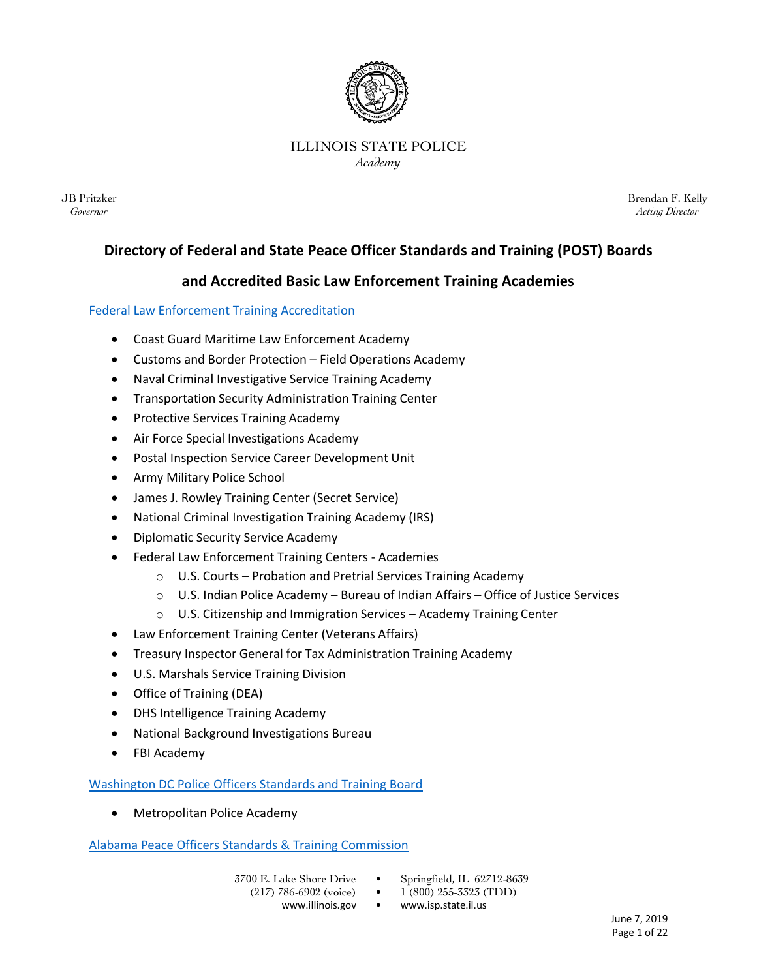

## ILLINOIS STATE POLICE *Academy*

JB Pritzker Brendan F. Kelly *Governor Acting Director*

# **Directory of Federal and State Peace Officer Standards and Training (POST) Boards**

# **and Accredited Basic Law Enforcement Training Academies**

## [Federal Law Enforcement Training Accreditation](https://www.fleta.gov/accredited-academies)

- Coast Guard Maritime Law Enforcement Academy
- Customs and Border Protection Field Operations Academy
- Naval Criminal Investigative Service Training Academy
- **•** Transportation Security Administration Training Center
- Protective Services Training Academy
- Air Force Special Investigations Academy
- Postal Inspection Service Career Development Unit
- Army Military Police School
- James J. Rowley Training Center (Secret Service)
- National Criminal Investigation Training Academy (IRS)
- Diplomatic Security Service Academy
- Federal Law Enforcement Training Centers Academies
	- o U.S. Courts Probation and Pretrial Services Training Academy
	- $\circ$  U.S. Indian Police Academy Bureau of Indian Affairs Office of Justice Services
	- o U.S. Citizenship and Immigration Services Academy Training Center
- Law Enforcement Training Center (Veterans Affairs)
- Treasury Inspector General for Tax Administration Training Academy
- U.S. Marshals Service Training Division
- Office of Training (DEA)
- DHS Intelligence Training Academy
- National Background Investigations Bureau
- FBI Academy

[Washington DC Police Officers Standards and Training Board](https://mpdc.dc.gov/page/dc-post-board-police-officers-standards-and-training-board)

Metropolitan Police Academy

Alabama [Peace Officers Standards & Training Commission](https://www.apostc.state.al.us/AcademyWebsiteLinks/tabid/59/Default.aspx)

- 3700 E. Lake Shore Drive Springfield, IL 62712-8639
	-
- - www.illinois.gov www.isp.state.il.us
	- (217) 786-6902 (voice) 1 (800) 255-3323 (TDD)
		-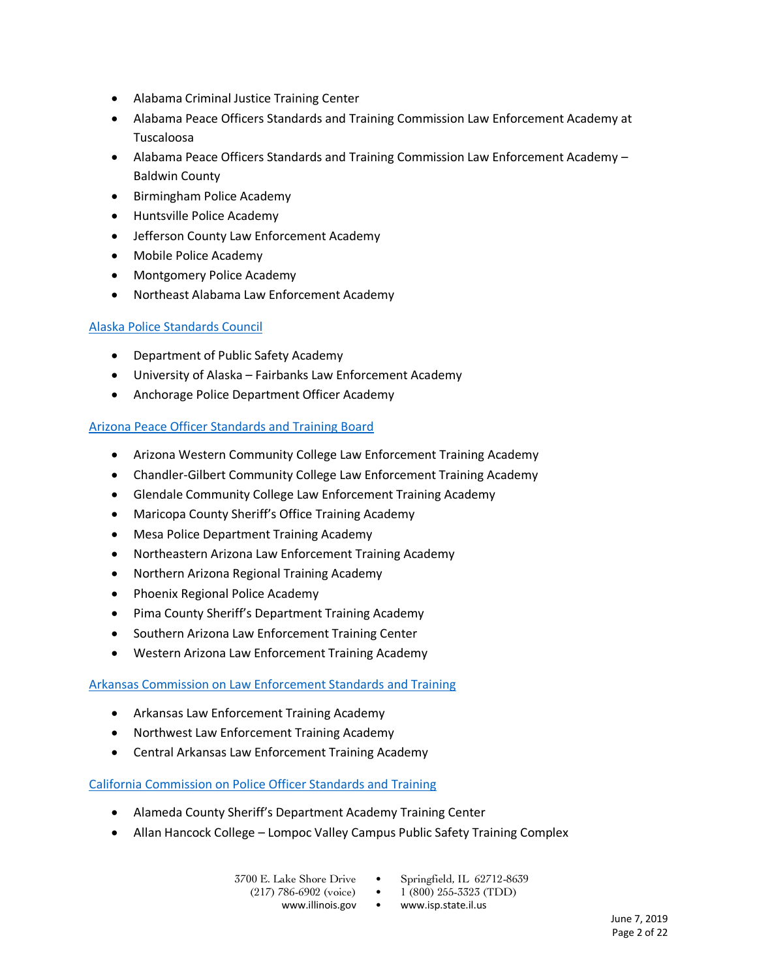- Alabama Criminal Justice Training Center
- Alabama Peace Officers Standards and Training Commission Law Enforcement Academy at Tuscaloosa
- Alabama Peace Officers Standards and Training Commission Law Enforcement Academy Baldwin County
- Birmingham Police Academy
- Huntsville Police Academy
- Jefferson County Law Enforcement Academy
- Mobile Police Academy
- Montgomery Police Academy
- Northeast Alabama Law Enforcement Academy

## Alaska [Police Standards Council](https://dps.alaska.gov/APSC/Home)

- Department of Public Safety Academy
- University of Alaska Fairbanks Law Enforcement Academy
- Anchorage Police Department Officer Academy

## Arizona [Peace Officer Standards and Training Board](https://postacademy.az.gov/new-hires-recruits/links)

- Arizona Western Community College Law Enforcement Training Academy
- Chandler-Gilbert Community College Law Enforcement Training Academy
- Glendale Community College Law Enforcement Training Academy
- Maricopa County Sheriff's Office Training Academy
- Mesa Police Department Training Academy
- Northeastern Arizona Law Enforcement Training Academy
- Northern Arizona Regional Training Academy
- Phoenix Regional Police Academy
- Pima County Sheriff's Department Training Academy
- Southern Arizona Law Enforcement Training Center
- Western Arizona Law Enforcement Training Academy

[Arkansas Commission on Law Enforcement Standards and Training](https://www.clest.org/)

- Arkansas Law Enforcement Training Academy
- Northwest Law Enforcement Training Academy
- Central Arkansas Law Enforcement Training Academy

[California Commission on Police Officer Standards and Training](https://post.ca.gov/basic-training-academies)

- Alameda County Sheriff's Department Academy Training Center
- Allan Hancock College Lompoc Valley Campus Public Safety Training Complex

|  |  |  | 3700 E. Lake Shore Driv |  |  |
|--|--|--|-------------------------|--|--|
|  |  |  |                         |  |  |

- 
- 
- 
- 3700 E. Lake Shore Drive Springfield, IL 62712-8639<br>(217) 786-6902 (voice) 1 (800) 255-3323 (TDD)  $1(800)$  255-3323 (TDD)
	- www.illinois.gov www.isp.state.il.us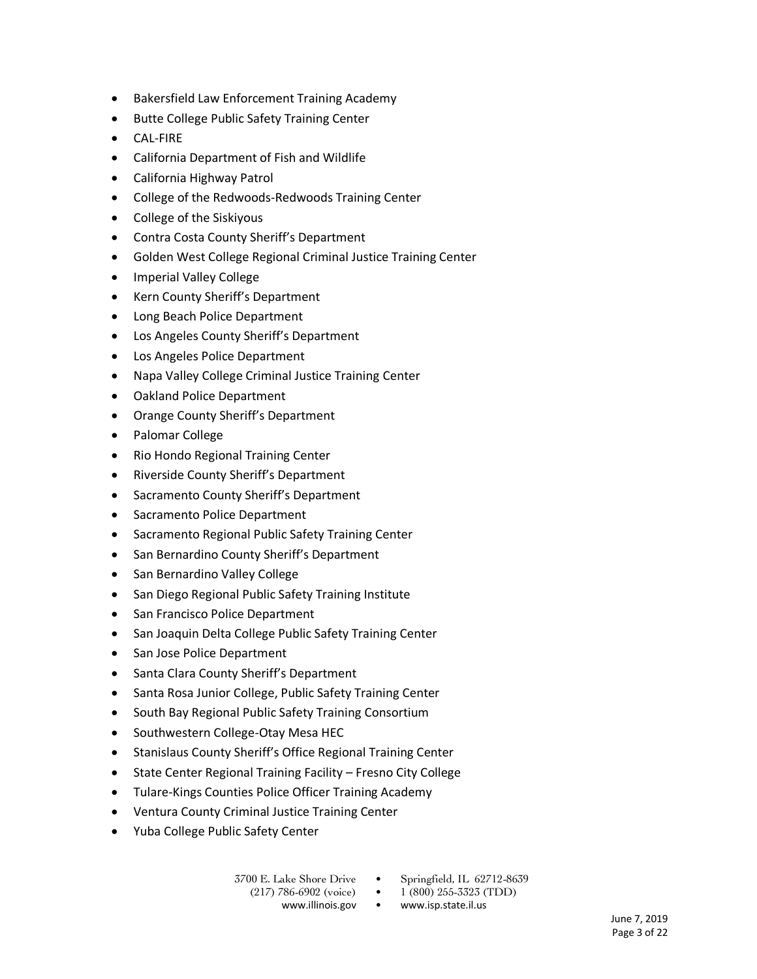- Bakersfield Law Enforcement Training Academy
- Butte College Public Safety Training Center
- CAL-FIRE
- California Department of Fish and Wildlife
- California Highway Patrol
- College of the Redwoods-Redwoods Training Center
- College of the Siskiyous
- Contra Costa County Sheriff's Department
- Golden West College Regional Criminal Justice Training Center
- Imperial Valley College
- Kern County Sheriff's Department
- Long Beach Police Department
- Los Angeles County Sheriff's Department
- Los Angeles Police Department
- Napa Valley College Criminal Justice Training Center
- Oakland Police Department
- Orange County Sheriff's Department
- Palomar College
- Rio Hondo Regional Training Center
- Riverside County Sheriff's Department
- Sacramento County Sheriff's Department
- Sacramento Police Department
- Sacramento Regional Public Safety Training Center
- San Bernardino County Sheriff's Department
- San Bernardino Valley College
- San Diego Regional Public Safety Training Institute
- San Francisco Police Department
- San Joaquin Delta College Public Safety Training Center
- San Jose Police Department
- Santa Clara County Sheriff's Department
- Santa Rosa Junior College, Public Safety Training Center
- South Bay Regional Public Safety Training Consortium
- Southwestern College-Otay Mesa HEC
- Stanislaus County Sheriff's Office Regional Training Center
- State Center Regional Training Facility Fresno City College
- Tulare-Kings Counties Police Officer Training Academy
- Ventura County Criminal Justice Training Center
- Yuba College Public Safety Center

- 3700 E. Lake Shore Drive Springfield, IL 62712-8639
	-

- (217) 786-6902 (voice)  $1(800)$  255-3323 (TDD)
	- www.illinois.gov www.isp.state.il.us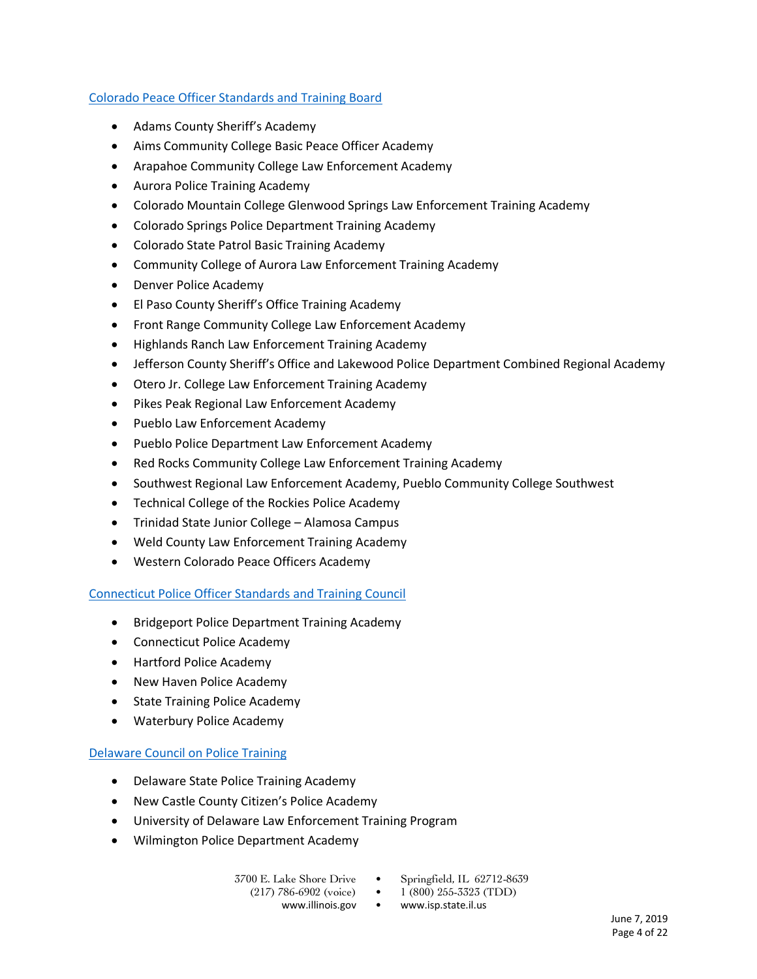## [Colorado Peace Officer Standards and Training Board](https://www.colorado.gov/pacific/post/colorado-post-approved-basic-academies)

- Adams County Sheriff's Academy
- Aims Community College Basic Peace Officer Academy
- Arapahoe Community College Law Enforcement Academy
- Aurora Police Training Academy
- Colorado Mountain College Glenwood Springs Law Enforcement Training Academy
- Colorado Springs Police Department Training Academy
- Colorado State Patrol Basic Training Academy
- Community College of Aurora Law Enforcement Training Academy
- Denver Police Academy
- El Paso County Sheriff's Office Training Academy
- Front Range Community College Law Enforcement Academy
- Highlands Ranch Law Enforcement Training Academy
- Jefferson County Sheriff's Office and Lakewood Police Department Combined Regional Academy
- Otero Jr. College Law Enforcement Training Academy
- Pikes Peak Regional Law Enforcement Academy
- Pueblo Law Enforcement Academy
- Pueblo Police Department Law Enforcement Academy
- Red Rocks Community College Law Enforcement Training Academy
- Southwest Regional Law Enforcement Academy, Pueblo Community College Southwest
- Technical College of the Rockies Police Academy
- Trinidad State Junior College Alamosa Campus
- Weld County Law Enforcement Training Academy
- Western Colorado Peace Officers Academy

## [Connecticut Police Officer Standards and Training Council](https://portal.ct.gov/POST)

- Bridgeport Police Department Training Academy
- Connecticut Police Academy
- Hartford Police Academy
- New Haven Police Academy
- State Training Police Academy
- Waterbury Police Academy

## [Delaware Council on Police Training](http://regulations.delaware.gov/AdminCode/title1/800/801.shtml)

- Delaware State Police Training Academy
- New Castle County Citizen's Police Academy
- University of Delaware Law Enforcement Training Program
- Wilmington Police Department Academy

- 3700 E. Lake Shore Drive Springfield, IL 62712-8639
	- (217) 786-6902 (voice)  $1(800)$  255-3323 (TDD)
		- www.illinois.gov www.isp.state.il.us
-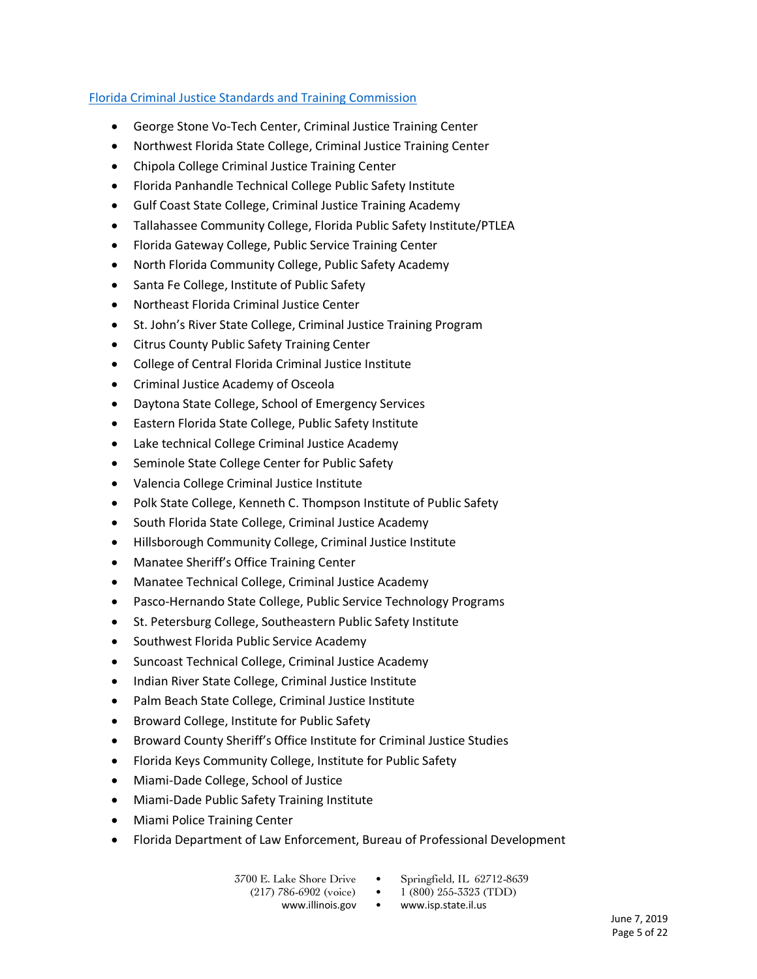## [Florida Criminal Justice Standards and Training Commission](http://www.fdle.state.fl.us/CJSTC/Training-Resources/Training-Centers.aspx)

- George Stone Vo-Tech Center, Criminal Justice Training Center
- Northwest Florida State College, Criminal Justice Training Center
- Chipola College Criminal Justice Training Center
- Florida Panhandle Technical College Public Safety Institute
- Gulf Coast State College, Criminal Justice Training Academy
- Tallahassee Community College, Florida Public Safety Institute/PTLEA
- Florida Gateway College, Public Service Training Center
- North Florida Community College, Public Safety Academy
- Santa Fe College, Institute of Public Safety
- Northeast Florida Criminal Justice Center
- St. John's River State College, Criminal Justice Training Program
- Citrus County Public Safety Training Center
- College of Central Florida Criminal Justice Institute
- Criminal Justice Academy of Osceola
- Daytona State College, School of Emergency Services
- Eastern Florida State College, Public Safety Institute
- Lake technical College Criminal Justice Academy
- Seminole State College Center for Public Safety
- Valencia College Criminal Justice Institute
- Polk State College, Kenneth C. Thompson Institute of Public Safety
- South Florida State College, Criminal Justice Academy
- Hillsborough Community College, Criminal Justice Institute
- Manatee Sheriff's Office Training Center
- Manatee Technical College, Criminal Justice Academy
- Pasco-Hernando State College, Public Service Technology Programs
- St. Petersburg College, Southeastern Public Safety Institute
- Southwest Florida Public Service Academy
- Suncoast Technical College, Criminal Justice Academy
- Indian River State College, Criminal Justice Institute
- Palm Beach State College, Criminal Justice Institute
- Broward College, Institute for Public Safety
- Broward County Sheriff's Office Institute for Criminal Justice Studies
- Florida Keys Community College, Institute for Public Safety
- Miami-Dade College, School of Justice
- Miami-Dade Public Safety Training Institute
- Miami Police Training Center
- Florida Department of Law Enforcement, Bureau of Professional Development

| 3700 E. Lake Shore Drive |  |
|--------------------------|--|
|--------------------------|--|

- Springfield, IL 62712-8639
- 
- (217) 786-6902 (voice)  $1(800)$  255-3323 (TDD)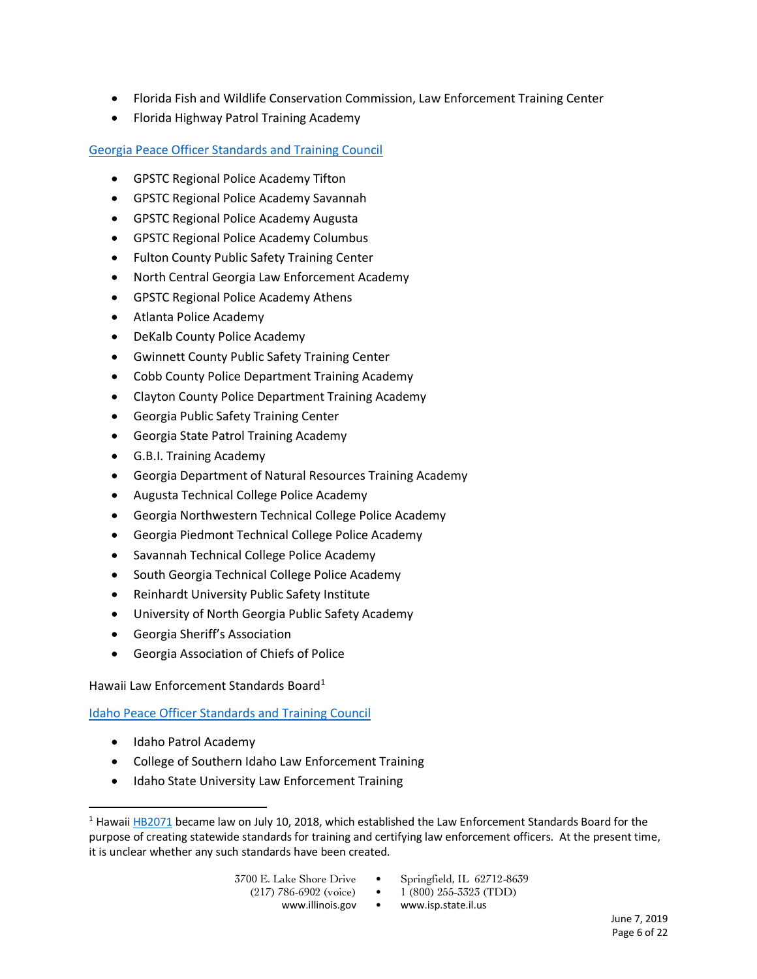- Florida Fish and Wildlife Conservation Commission, Law Enforcement Training Center
- Florida Highway Patrol Training Academy

[Georgia Peace Officer Standards and Training Council](https://www.gapost.org/academies.html)

- GPSTC Regional Police Academy Tifton
- GPSTC Regional Police Academy Savannah
- GPSTC Regional Police Academy Augusta
- GPSTC Regional Police Academy Columbus
- Fulton County Public Safety Training Center
- North Central Georgia Law Enforcement Academy
- GPSTC Regional Police Academy Athens
- Atlanta Police Academy
- DeKalb County Police Academy
- Gwinnett County Public Safety Training Center
- Cobb County Police Department Training Academy
- Clayton County Police Department Training Academy
- Georgia Public Safety Training Center
- Georgia State Patrol Training Academy
- G.B.I. Training Academy
- Georgia Department of Natural Resources Training Academy
- Augusta Technical College Police Academy
- Georgia Northwestern Technical College Police Academy
- Georgia Piedmont Technical College Police Academy
- Savannah Technical College Police Academy
- South Georgia Technical College Police Academy
- Reinhardt University Public Safety Institute
- University of North Georgia Public Safety Academy
- Georgia Sheriff's Association
- Georgia Association of Chiefs of Police

Hawaii Law Enforcement Standards Board<sup>1</sup>

[Idaho Peace Officer Standards and Training Council](https://www.post.idaho.gov/academies/academies.html)

Idaho Patrol Academy

 $\overline{\phantom{a}}$ 

- College of Southern Idaho Law Enforcement Training
- Idaho State University Law Enforcement Training

- 3700 E. Lake Shore Drive Springfield, IL 62712-8639
	-
	-
	- www.illinois.gov www.isp.state.il.us
	- (217) 786-6902 (voice)  $1(800)$  255-3323 (TDD)
		-

<sup>&</sup>lt;sup>1</sup> Hawai[i HB2071](https://www.capitol.hawaii.gov/session2018/bills/GM1329_.pdf) became law on July 10, 2018, which established the Law Enforcement Standards Board for the purpose of creating statewide standards for training and certifying law enforcement officers. At the present time, it is unclear whether any such standards have been created.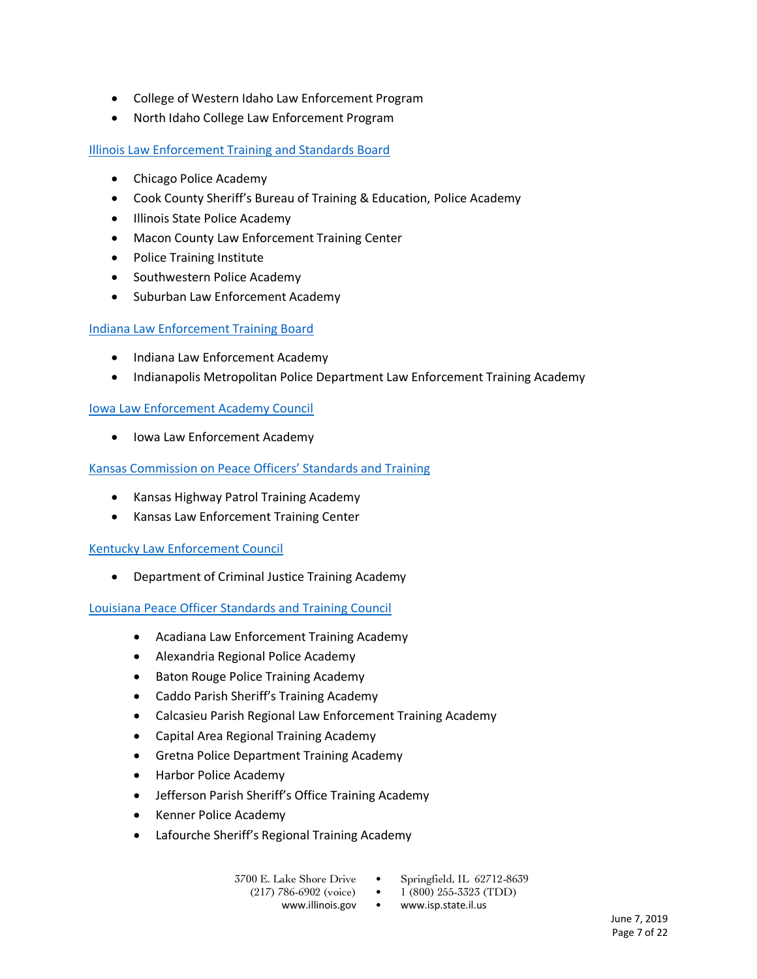- College of Western Idaho Law Enforcement Program
- North Idaho College Law Enforcement Program

## [Illinois Law Enforcement Training and Standards Board](https://www.ptb.illinois.gov/training/directory-of-training-organizations/)

- Chicago Police Academy
- Cook County Sheriff's Bureau of Training & Education, Police Academy
- Illinois State Police Academy
- Macon County Law Enforcement Training Center
- Police Training Institute
- Southwestern Police Academy
- Suburban Law Enforcement Academy

## [Indiana Law Enforcement Training Board](https://www.in.gov/ilea/2382.htm)

- Indiana Law Enforcement Academy
- Indianapolis Metropolitan Police Department Law Enforcement Training Academy

#### [Iowa Law Enforcement Academy Council](https://ileatraining.org/default.aspx/MenuItemID/107/MenuGroup/Home.htm)

• Iowa Law Enforcement Academy

## [Kansas Commission on Peace Officers' Standards and Training](https://www.kscpost.org/certification.php)

- Kansas Highway Patrol Training Academy
- Kansas Law Enforcement Training Center

## [Kentucky Law Enforcement Council](https://klecs.ky.gov/)

Department of Criminal Justice Training Academy

## Louisiana Peace [Officer Standards and Training Council](http://www.lcle.la.gov/programs/postacademies.asp)

- Acadiana Law Enforcement Training Academy
- Alexandria Regional Police Academy
- Baton Rouge Police Training Academy
- Caddo Parish Sheriff's Training Academy
- Calcasieu Parish Regional Law Enforcement Training Academy
- Capital Area Regional Training Academy
- Gretna Police Department Training Academy
- Harbor Police Academy
- Jefferson Parish Sheriff's Office Training Academy
- Kenner Police Academy
- Lafourche Sheriff's Regional Training Academy

## 3700 E. Lake Shore Drive • Springfield, IL 62712-8639

- 
- 
- (217) 786-6902 (voice) 1 (800) 255-3323 (TDD)
	- www.illinois.gov www.isp.state.il.us
-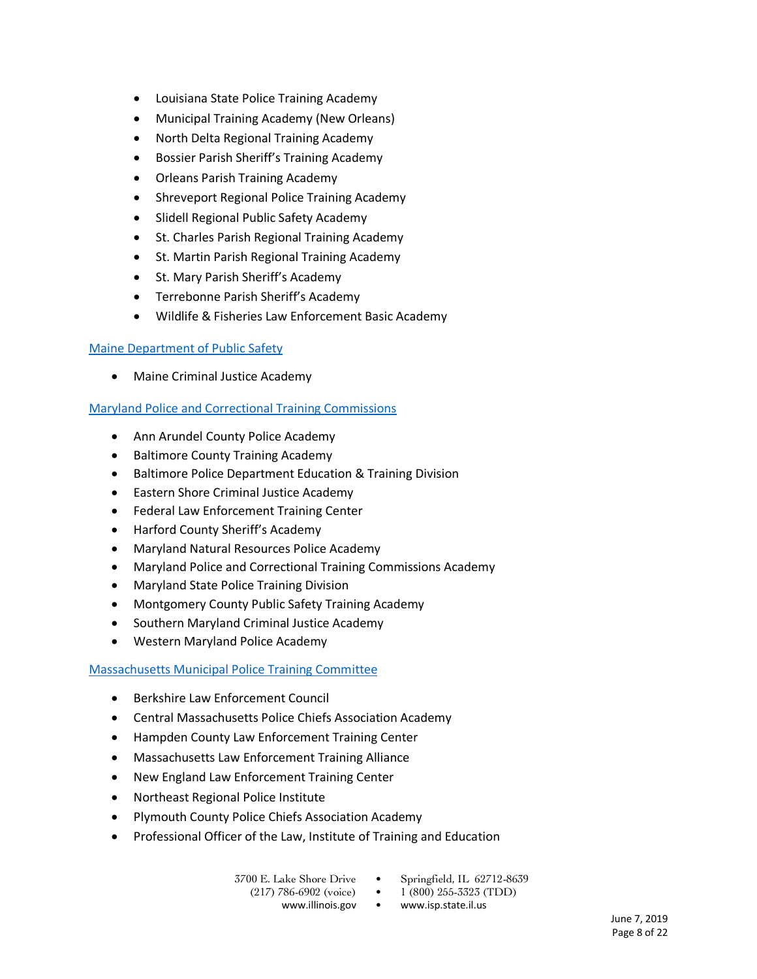- Louisiana State Police Training Academy
- Municipal Training Academy (New Orleans)
- North Delta Regional Training Academy
- Bossier Parish Sheriff's Training Academy
- Orleans Parish Training Academy
- Shreveport Regional Police Training Academy
- Slidell Regional Public Safety Academy
- St. Charles Parish Regional Training Academy
- St. Martin Parish Regional Training Academy
- St. Mary Parish Sheriff's Academy
- Terrebonne Parish Sheriff's Academy
- Wildlife & Fisheries Law Enforcement Basic Academy

## [Maine Department of Public](https://www.maine.gov/dps/mcja/about/history.htm) Safety

Maine Criminal Justice Academy

## [Maryland Police and Correctional Training Commissions](https://www.dpscs.state.md.us/aboutdpscs/pct/)

- Ann Arundel County Police Academy
- Baltimore County Training Academy
- **•** Baltimore Police Department Education & Training Division
- Eastern Shore Criminal Justice Academy
- **•** Federal Law Enforcement Training Center
- Harford County Sheriff's Academy
- Maryland Natural Resources Police Academy
- Maryland Police and Correctional Training Commissions Academy
- Maryland State Police Training Division
- Montgomery County Public Safety Training Academy
- Southern Maryland Criminal Justice Academy
- Western Maryland Police Academy

## [Massachusetts Municipal Police Training Committee](https://www.mass.gov/basic-full-time-and-part-time-police-academies)

- Berkshire Law Enforcement Council
- Central Massachusetts Police Chiefs Association Academy
- Hampden County Law Enforcement Training Center
- Massachusetts Law Enforcement Training Alliance
- New England Law Enforcement Training Center
- Northeast Regional Police Institute
- Plymouth County Police Chiefs Association Academy
- Professional Officer of the Law, Institute of Training and Education

| 3700 E. Lake Shore Drive |
|--------------------------|
|--------------------------|

- Springfield, IL 62712-8639<br>• 1 (800) 255-3323 (TDD)
- 
- (217) 786-6902 (voice) 1 (800) 255-3323 (TDD)
	- www.illinois.gov www.isp.state.il.us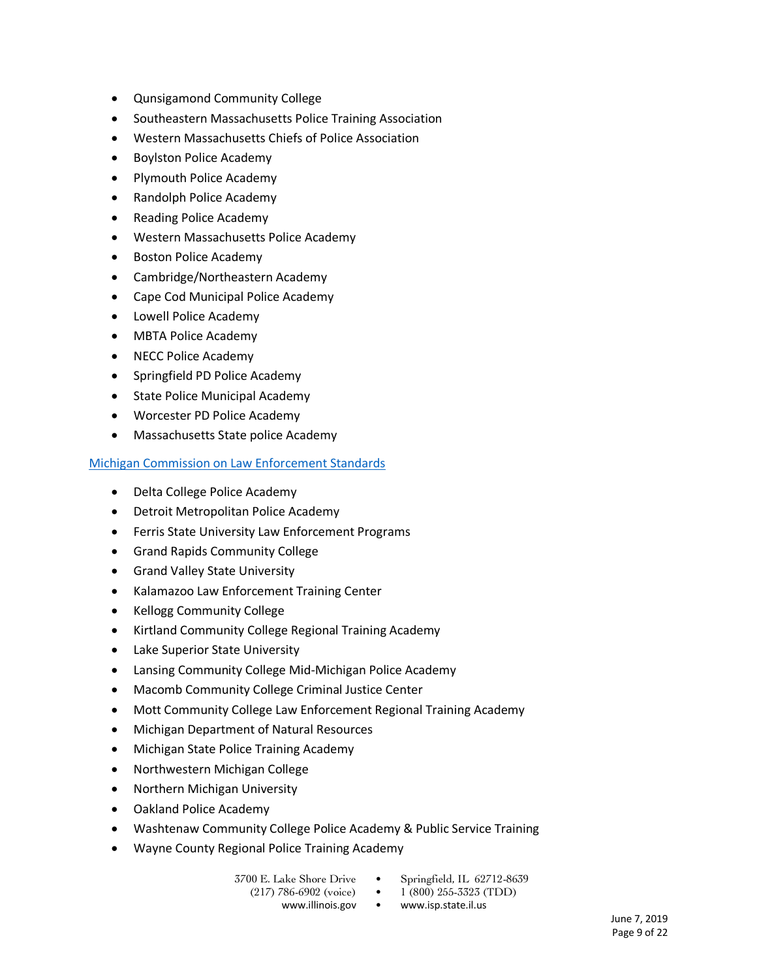- Qunsigamond Community College
- **•** Southeastern Massachusetts Police Training Association
- Western Massachusetts Chiefs of Police Association
- Boylston Police Academy
- Plymouth Police Academy
- Randolph Police Academy
- Reading Police Academy
- Western Massachusetts Police Academy
- **•** Boston Police Academy
- Cambridge/Northeastern Academy
- Cape Cod Municipal Police Academy
- Lowell Police Academy
- MBTA Police Academy
- NECC Police Academy
- Springfield PD Police Academy
- State Police Municipal Academy
- Worcester PD Police Academy
- Massachusetts State police Academy

## [Michigan Commission on Law Enforcement Standards](https://www.michigan.gov/mcoles/0,4607,7-229-41624_43157-148096--,00.html)

- Delta College Police Academy
- Detroit Metropolitan Police Academy
- Ferris State University Law Enforcement Programs
- Grand Rapids Community College
- Grand Valley State University
- Kalamazoo Law Enforcement Training Center
- Kellogg Community College
- Kirtland Community College Regional Training Academy
- Lake Superior State University
- Lansing Community College Mid-Michigan Police Academy
- Macomb Community College Criminal Justice Center
- Mott Community College Law Enforcement Regional Training Academy
- Michigan Department of Natural Resources
- Michigan State Police Training Academy
- Northwestern Michigan College
- Northern Michigan University
- Oakland Police Academy
- Washtenaw Community College Police Academy & Public Service Training
- Wayne County Regional Police Training Academy

| 3700 E. Lake Shore Drive |
|--------------------------|
|--------------------------|

- Springfield, IL 62712-8639
- 
- (217) 786-6902 (voice) 1 (800) 255-3323 (TDD)
	- www.illinois.gov www.isp.state.il.us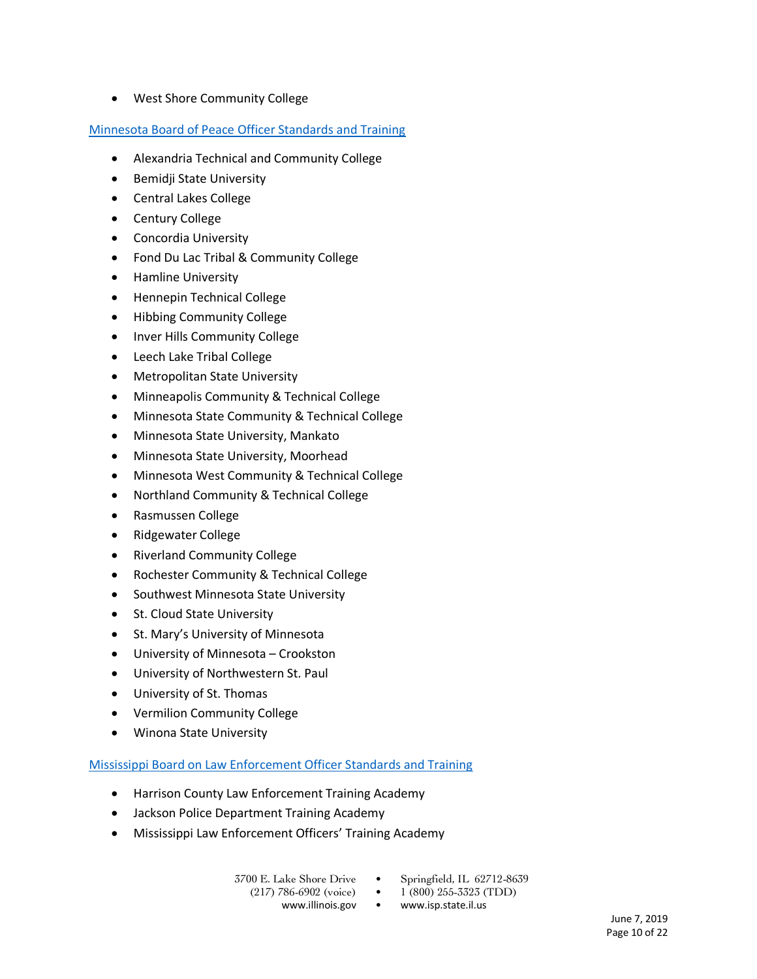West Shore Community College

## Minnesota [Board of Peace Officer Standards and Training](https://dps.mn.gov/entity/post/becoming-a-peace-officer/Pages/peace-officer-how-to-become.aspx)

- Alexandria Technical and Community College
- **•** Bemidji State University
- Central Lakes College
- Century College
- Concordia University
- Fond Du Lac Tribal & Community College
- **•** Hamline University
- Hennepin Technical College
- Hibbing Community College
- Inver Hills Community College
- Leech Lake Tribal College
- Metropolitan State University
- Minneapolis Community & Technical College
- Minnesota State Community & Technical College
- Minnesota State University, Mankato
- Minnesota State University, Moorhead
- Minnesota West Community & Technical College
- Northland Community & Technical College
- Rasmussen College
- Ridgewater College
- Riverland Community College
- Rochester Community & Technical College
- Southwest Minnesota State University
- St. Cloud State University
- St. Mary's University of Minnesota
- University of Minnesota Crookston
- University of Northwestern St. Paul
- University of St. Thomas
- Vermilion Community College
- Winona State University

## [Mississippi Board on Law Enforcement Officer Standards and Training](https://www.dps.state.ms.us/divisions/public-safety-planning/office-of-standards-and-training/board-on-law-enforcement-officer-standards-and-training-bleost/)

- Harrison County Law Enforcement Training Academy
- Jackson Police Department Training Academy
- Mississippi Law Enforcement Officers' Training Academy
	-
	- 3700 E. Lake Shore Drive Springfield, IL 62712-8639<br>(217) 786-6902 (voice) 1 (800) 255-3323 (TDD)
		- $(217) 786-6902$  (voice) •
- - www.illinois.gov www.isp.state.il.us

June 7, 2019 Page 10 of 22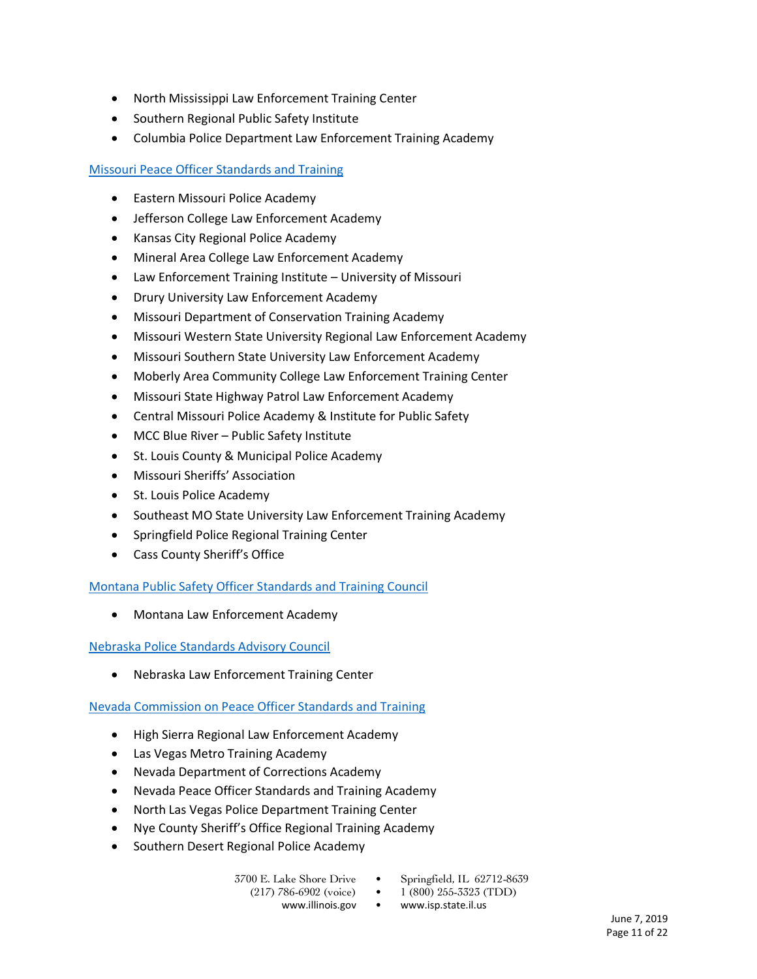- North Mississippi Law Enforcement Training Center
- Southern Regional Public Safety Institute
- Columbia Police Department Law Enforcement Training Academy

## [Missouri Peace Officer Standards and Training](https://dps.mo.gov/dir/programs/post/training.php)

- Eastern Missouri Police Academy
- Jefferson College Law Enforcement Academy
- Kansas City Regional Police Academy
- Mineral Area College Law Enforcement Academy
- Law Enforcement Training Institute University of Missouri
- Drury University Law Enforcement Academy
- Missouri Department of Conservation Training Academy
- Missouri Western State University Regional Law Enforcement Academy
- Missouri Southern State University Law Enforcement Academy
- Moberly Area Community College Law Enforcement Training Center
- Missouri State Highway Patrol Law Enforcement Academy
- Central Missouri Police Academy & Institute for Public Safety
- MCC Blue River Public Safety Institute
- St. Louis County & Municipal Police Academy
- Missouri Sheriffs' Association
- St. Louis Police Academy
- Southeast MO State University Law Enforcement Training Academy
- Springfield Police Regional Training Center
- Cass County Sheriff's Office

## [Montana Public Safety Officer Standards and Training Council](https://dojmt.gov/post/applicant-new/)

Montana Law Enforcement Academy

## [Nebraska Police Standards Advisory Council](http://nletc.nebraska.gov/psac.html)

Nebraska Law Enforcement Training Center

## [Nevada Commission on Peace Officer Standards and Training](http://post.nv.gov/)

- High Sierra Regional Law Enforcement Academy
- Las Vegas Metro Training Academy
- Nevada Department of Corrections Academy
- Nevada Peace Officer Standards and Training Academy
- North Las Vegas Police Department Training Center
- Nye County Sheriff's Office Regional Training Academy
- **•** Southern Desert Regional Police Academy

- 3700 E. Lake Shore Drive Springfield, IL 62712-8639
	-
	- (217) 786-6902 (voice)  $1(800)$  255-3323 (TDD)
		- www.illinois.gov www.isp.state.il.us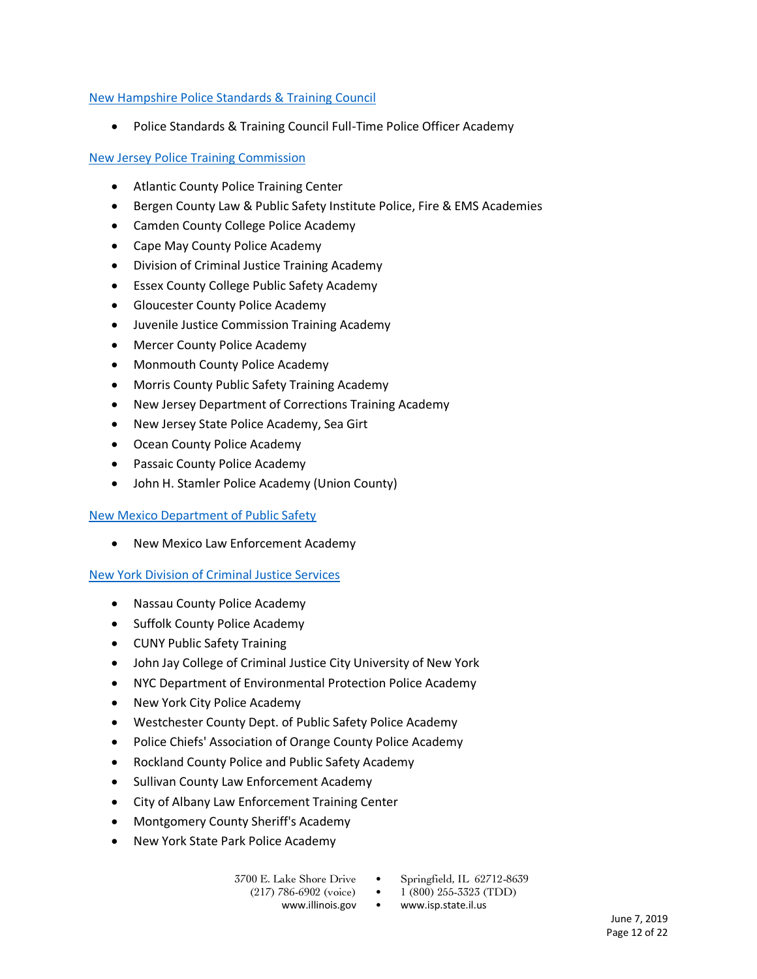## [New Hampshire Police Standards & Training Council](https://www.pstc.nh.gov/training/index.htm)

• Police Standards & Training Council Full-Time Police Officer Academy

## [New Jersey Police Training Commission](https://www.state.nj.us/lps/dcj/njptc/numbers.htm)

- Atlantic County Police Training Center
- Bergen County Law & Public Safety Institute Police, Fire & EMS Academies
- Camden County College Police Academy
- Cape May County Police Academy
- Division of Criminal Justice Training Academy
- Essex County College Public Safety Academy
- **•** Gloucester County Police Academy
- Juvenile Justice Commission Training Academy
- Mercer County Police Academy
- Monmouth County Police Academy
- Morris County Public Safety Training Academy
- New Jersey Department of Corrections Training Academy
- New Jersey State Police Academy, Sea Girt
- Ocean County Police Academy
- Passaic County Police Academy
- John H. Stamler Police Academy (Union County)

## [New Mexico Department of Public Safety](https://www.lea.nm.gov/)

New Mexico Law Enforcement Academy

## [New York Division of Criminal Justice Services](https://www.criminaljustice.ny.gov/ops/training/zoneacademies/index.htm)

- Nassau County Police Academy
- Suffolk County Police Academy
- CUNY Public Safety Training
- John Jay College of Criminal Justice City University of New York
- NYC Department of Environmental Protection Police Academy
- New York City Police Academy
- Westchester County Dept. of Public Safety Police Academy
- Police Chiefs' Association of Orange County Police Academy
- Rockland County Police and Public Safety Academy
- Sullivan County Law Enforcement Academy
- City of Albany Law Enforcement Training Center
- Montgomery County Sheriff's Academy
- New York State Park Police Academy

- 3700 E. Lake Shore Drive Springfield, IL 62712-8639
	-
	-
	- (217) 786-6902 (voice)  $1(800)$  255-3323 (TDD)
		- www.illinois.gov www.isp.state.il.us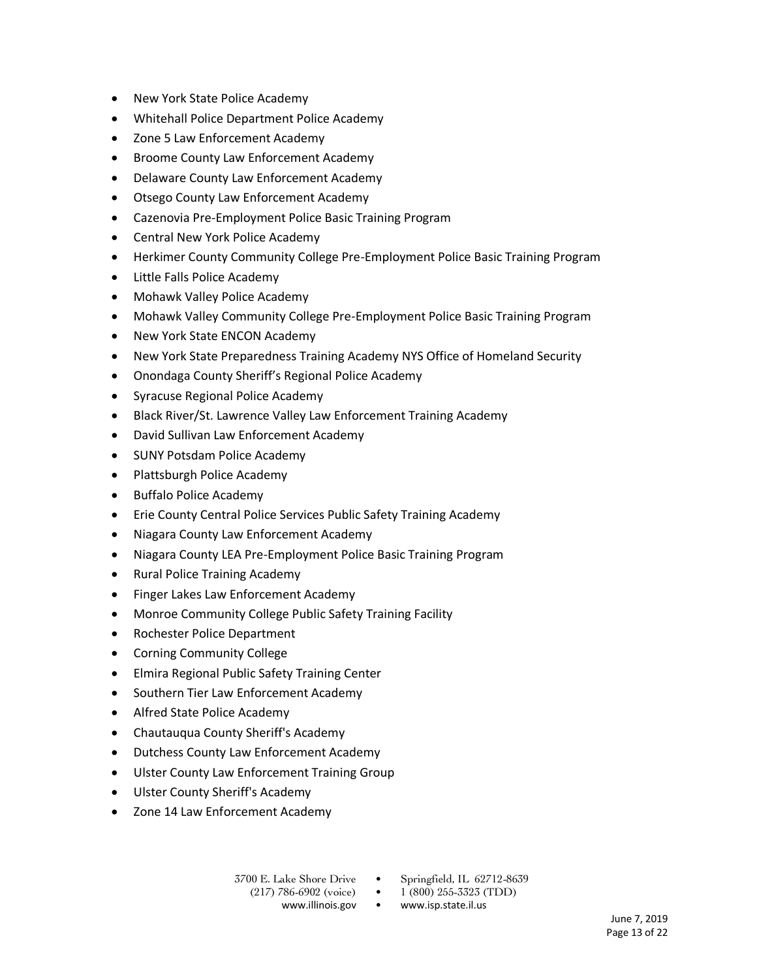- New York State Police Academy
- Whitehall Police Department Police Academy
- Zone 5 Law Enforcement Academy
- Broome County Law Enforcement Academy
- Delaware County Law Enforcement Academy
- Otsego County Law Enforcement Academy
- Cazenovia Pre-Employment Police Basic Training Program
- Central New York Police Academy
- Herkimer County Community College Pre-Employment Police Basic Training Program
- Little Falls Police Academy
- Mohawk Valley Police Academy
- Mohawk Valley Community College Pre-Employment Police Basic Training Program
- New York State ENCON Academy
- New York State Preparedness Training Academy NYS Office of Homeland Security
- Onondaga County Sheriff's Regional Police Academy
- Syracuse Regional Police Academy
- Black River/St. Lawrence Valley Law Enforcement Training Academy
- David Sullivan Law Enforcement Academy
- SUNY Potsdam Police Academy
- Plattsburgh Police Academy
- Buffalo Police Academy
- Erie County Central Police Services Public Safety Training Academy
- Niagara County Law Enforcement Academy
- Niagara County LEA Pre-Employment Police Basic Training Program
- Rural Police Training Academy
- Finger Lakes Law Enforcement Academy
- Monroe Community College Public Safety Training Facility
- Rochester Police Department
- Corning Community College
- Elmira Regional Public Safety Training Center
- Southern Tier Law Enforcement Academy
- Alfred State Police Academy
- Chautauqua County Sheriff's Academy
- Dutchess County Law Enforcement Academy
- Ulster County Law Enforcement Training Group
- Ulster County Sheriff's Academy
- Zone 14 Law Enforcement Academy
	-
	- 3700 E. Lake Shore Drive Springfield, IL 62712-8639
		-
		-
		- (217) 786-6902 (voice)  $1(800)$  255-3323 (TDD)
			- www.illinois.gov www.isp.state.il.us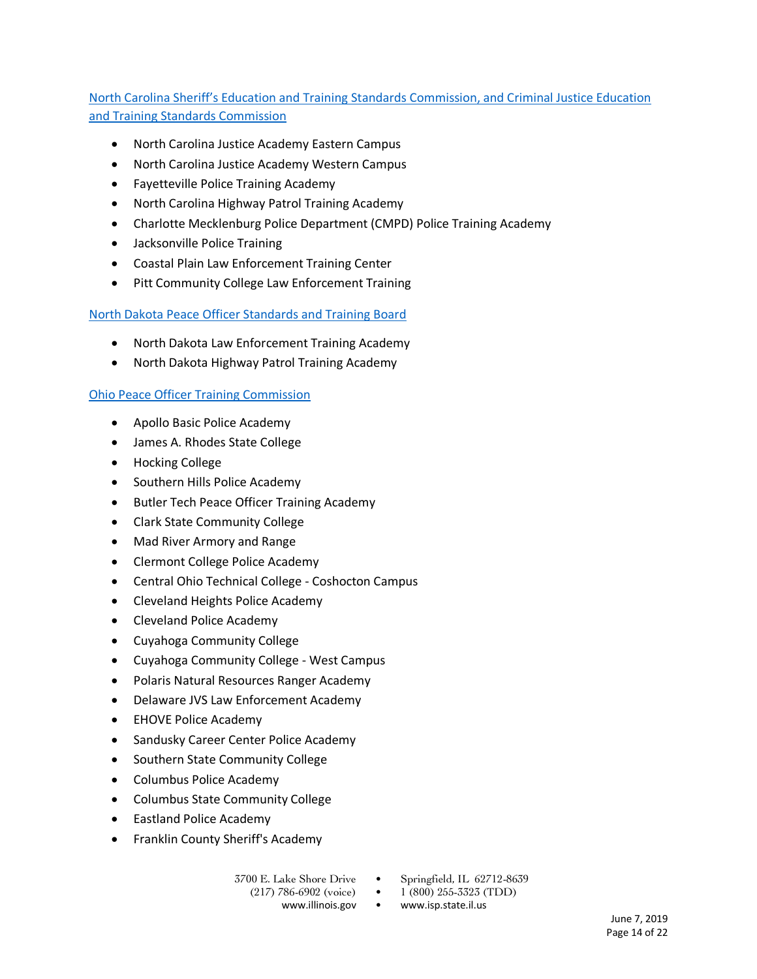North Carolina Sheriff's Education and Training St[andards Commission, and Criminal Justice Education](https://www.ncdoj.gov/About-DOJ/Law-Enforcement-Training-and-Standards.aspx)  [and Training Standards Commission](https://www.ncdoj.gov/About-DOJ/Law-Enforcement-Training-and-Standards.aspx)

- North Carolina Justice Academy Eastern Campus
- North Carolina Justice Academy Western Campus
- Fayetteville Police Training Academy
- North Carolina Highway Patrol Training Academy
- Charlotte Mecklenburg Police Department (CMPD) Police Training Academy
- Jacksonville Police Training
- Coastal Plain Law Enforcement Training Center
- Pitt Community College Law Enforcement Training

## [North Dakota Peace Officer Standards and Training Board](http://www.post.nd.gov/LawEnforcementAgencies/TrainingAcademies.html)

- North Dakota Law Enforcement Training Academy
- North Dakota Highway Patrol Training Academy

## [Ohio Peace Officer Training Commission](https://www.ohioattorneygeneral.gov/PeaceOfficerBasicTrainingSchools)

- Apollo Basic Police Academy
- James A. Rhodes State College
- Hocking College
- Southern Hills Police Academy
- Butler Tech Peace Officer Training Academy
- Clark State Community College
- Mad River Armory and Range
- Clermont College Police Academy
- Central Ohio Technical College Coshocton Campus
- Cleveland Heights Police Academy
- Cleveland Police Academy
- Cuyahoga Community College
- Cuyahoga Community College West Campus
- Polaris Natural Resources Ranger Academy
- Delaware JVS Law Enforcement Academy
- EHOVE Police Academy
- Sandusky Career Center Police Academy
- Southern State Community College
- Columbus Police Academy
- Columbus State Community College
- Eastland Police Academy
- Franklin County Sheriff's Academy

- 3700 E. Lake Shore Drive Springfield, IL 62712-8639
	- (217) 786-6902 (voice)  $1(800)$  255-3323 (TDD)
		-
		- www.illinois.gov www.isp.state.il.us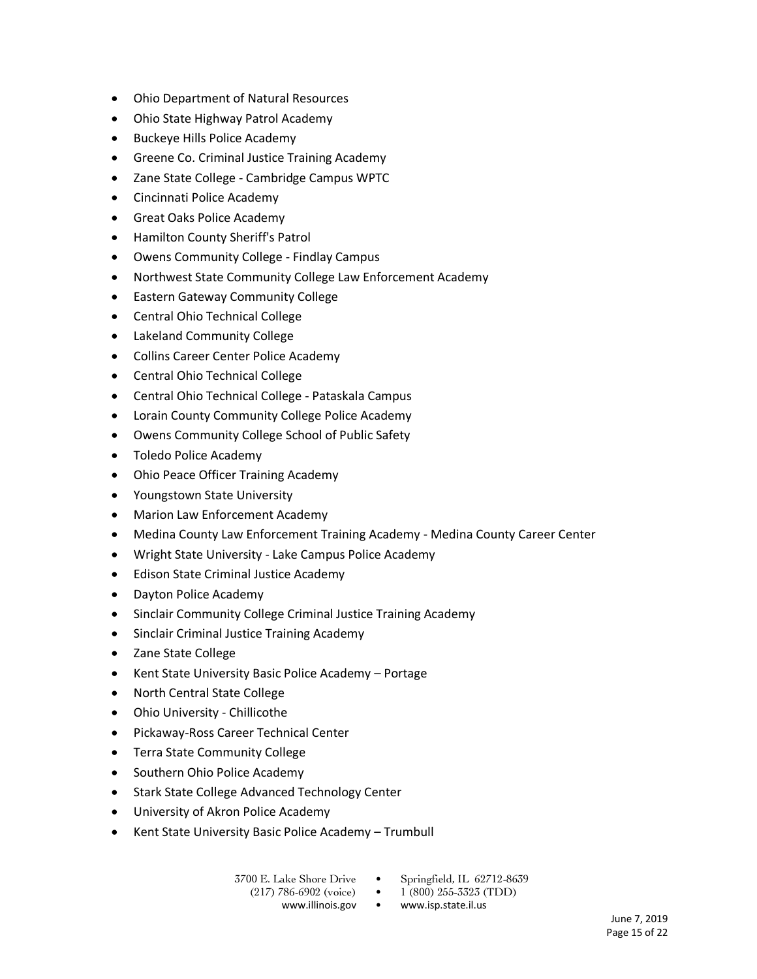- Ohio Department of Natural Resources
- Ohio State Highway Patrol Academy
- Buckeye Hills Police Academy
- **•** Greene Co. Criminal Justice Training Academy
- Zane State College Cambridge Campus WPTC
- Cincinnati Police Academy
- Great Oaks Police Academy
- Hamilton County Sheriff's Patrol
- Owens Community College Findlay Campus
- Northwest State Community College Law Enforcement Academy
- Eastern Gateway Community College
- Central Ohio Technical College
- Lakeland Community College
- Collins Career Center Police Academy
- Central Ohio Technical College
- Central Ohio Technical College Pataskala Campus
- Lorain County Community College Police Academy
- Owens Community College School of Public Safety
- Toledo Police Academy
- Ohio Peace Officer Training Academy
- Youngstown State University
- Marion Law Enforcement Academy
- Medina County Law Enforcement Training Academy Medina County Career Center
- Wright State University Lake Campus Police Academy
- **•** Edison State Criminal Justice Academy
- Dayton Police Academy
- Sinclair Community College Criminal Justice Training Academy
- Sinclair Criminal Justice Training Academy
- Zane State College
- Kent State University Basic Police Academy Portage
- North Central State College
- Ohio University Chillicothe
- **•** Pickaway-Ross Career Technical Center
- Terra State Community College
- Southern Ohio Police Academy
- **Stark State College Advanced Technology Center**
- University of Akron Police Academy
- Kent State University Basic Police Academy Trumbull

| 3700 E. Lake Shore Drive |
|--------------------------|
|--------------------------|

- 3700 E. Lake Shore Drive Springfield, IL 62712-8639<br>(217) 786-6902 (voice) 1 (800) 255-3323 (TDD)
	-
- $1(800)$  255-3323 (TDD)
	- www.illinois.gov www.isp.state.il.us
- June 7, 2019 Page 15 of 22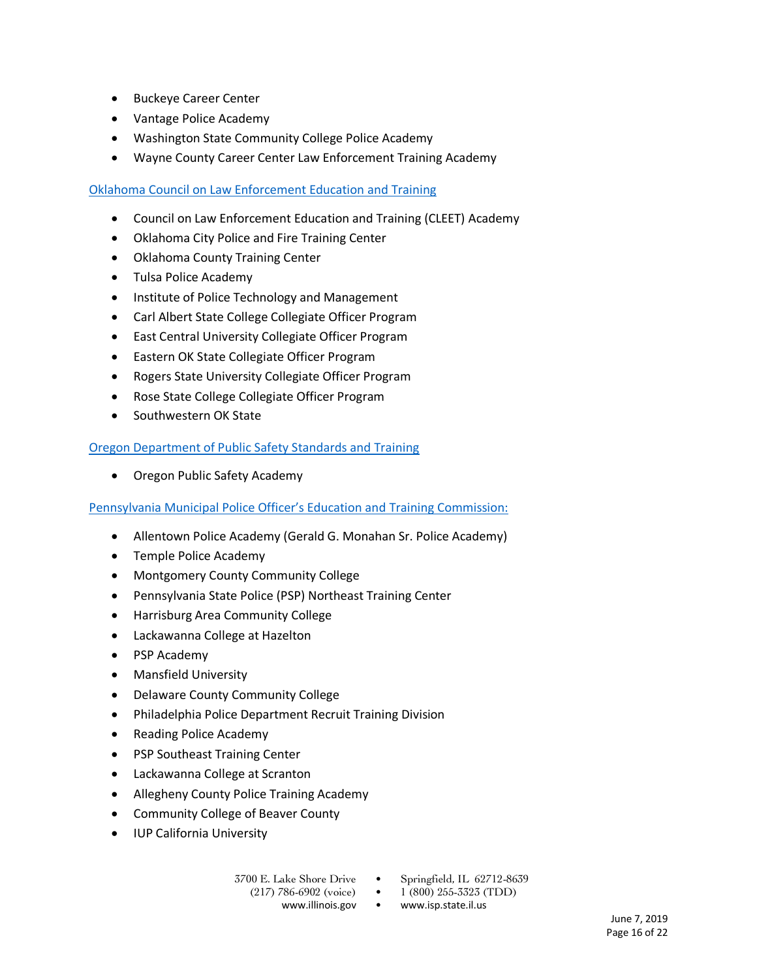- **•** Buckeye Career Center
- Vantage Police Academy
- Washington State Community College Police Academy
- Wayne County Career Center Law Enforcement Training Academy

Oklahoma [Council on Law Enforcement Education and Training](https://www.ok.gov/cleet/)

- Council on Law Enforcement Education and Training (CLEET) Academy
- Oklahoma City Police and Fire Training Center
- Oklahoma County Training Center
- Tulsa Police Academy
- Institute of Police Technology and Management
- Carl Albert State College Collegiate Officer Program
- East Central University Collegiate Officer Program
- Eastern OK State Collegiate Officer Program
- Rogers State University Collegiate Officer Program
- Rose State College Collegiate Officer Program
- Southwestern OK State

## Oregon [Department of Public Safety Standards and Training](https://www.oregon.gov/dpsst/Pages/index.aspx)

Oregon Public Safety Academy

## [Pennsylvania Municipal Police Officer's Education and Training Commission:](https://mpoetc.psp.pa.gov/training/Pages/Certified-Schools.aspx)

- Allentown Police Academy (Gerald G. Monahan Sr. Police Academy)
- Temple Police Academy
- Montgomery County Community College
- Pennsylvania State Police (PSP) Northeast Training Center
- Harrisburg Area Community College
- Lackawanna College at Hazelton
- PSP Academy
- Mansfield University
- Delaware County Community College
- Philadelphia Police Department Recruit Training Division
- Reading Police Academy
- PSP Southeast Training Center
- Lackawanna College at Scranton
- Allegheny County Police Training Academy
- Community College of Beaver County
- **•** IUP California University

- 3700 E. Lake Shore Drive Springfield, IL 62712-8639
	-
	-
	- (217) 786-6902 (voice)  $1(800)$  255-3323 (TDD)
		- www.illinois.gov www.isp.state.il.us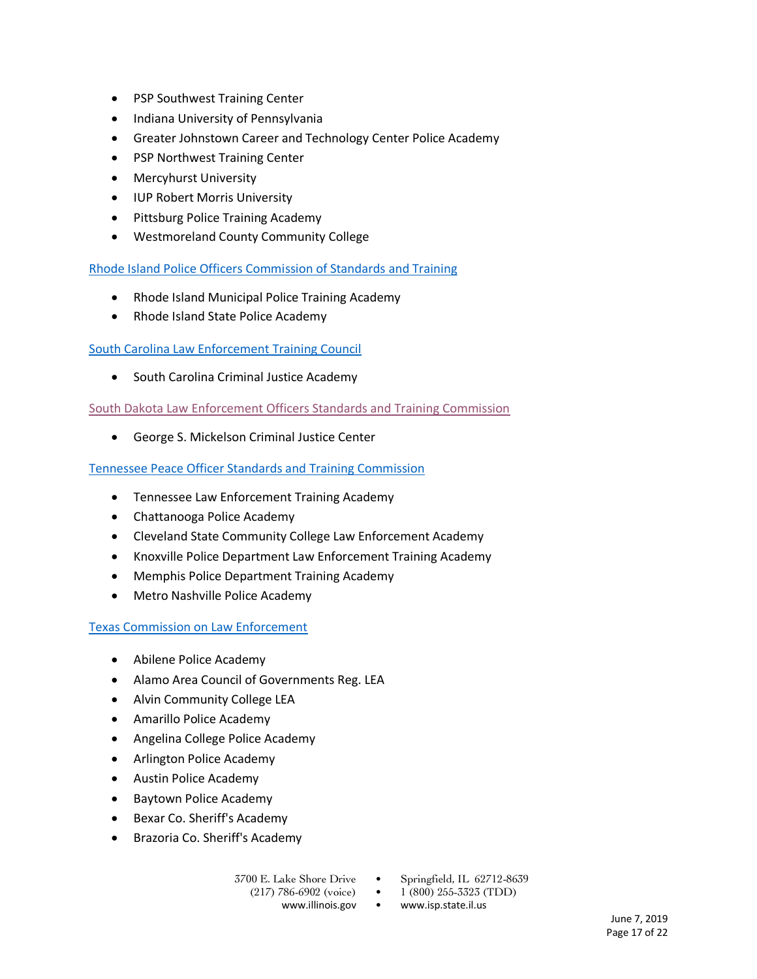- PSP Southwest Training Center
- Indiana University of Pennsylvania
- Greater Johnstown Career and Technology Center Police Academy
- PSP Northwest Training Center
- Mercyhurst University
- **IUP Robert Morris University**
- Pittsburg Police Training Academy
- Westmoreland County Community College

[Rhode Island Police Officers Commission of Standards and Training](http://rimpa.ri.gov/post/index.php)

- Rhode Island Municipal Police Training Academy
- Rhode Island State Police Academy

## [South Carolina Law Enforcement Training Council](https://sccja.sc.gov/general-information/sc-law-enforcement-training)

South Carolina Criminal Justice Academy

[South Dakota Law Enforcement Officers Standards and Training Commission](https://atg.sd.gov/LawEnforcement/training/commission.aspx)

George S. Mickelson Criminal Justice Center

[Tennessee Peace Officer Standards and Training Commission](https://www.tn.gov/commerce/post.html)

- Tennessee Law Enforcement Training Academy
- Chattanooga Police Academy
- Cleveland State Community College Law Enforcement Academy
- Knoxville Police Department Law Enforcement Training Academy
- Memphis Police Department Training Academy
- Metro Nashville Police Academy

## [Texas Commission on Law Enforcement](https://www.tcole.texas.gov/law-enforcement-academies)

- Abilene Police Academy
- Alamo Area Council of Governments Reg. LEA
- Alvin Community College LEA
- Amarillo Police Academy
- Angelina College Police Academy
- Arlington Police Academy
- Austin Police Academy
- Baytown Police Academy
- Bexar Co. Sheriff's Academy
- Brazoria Co. Sheriff's Academy

 $(217) 786-6902$  (voice) •

- 3700 E. Lake Shore Drive Springfield, IL 62712-8639<br>(217) 786-6902 (voice) 1 (800) 255-3323 (TDD)
	-
	- www.illinois.gov www.isp.state.il.us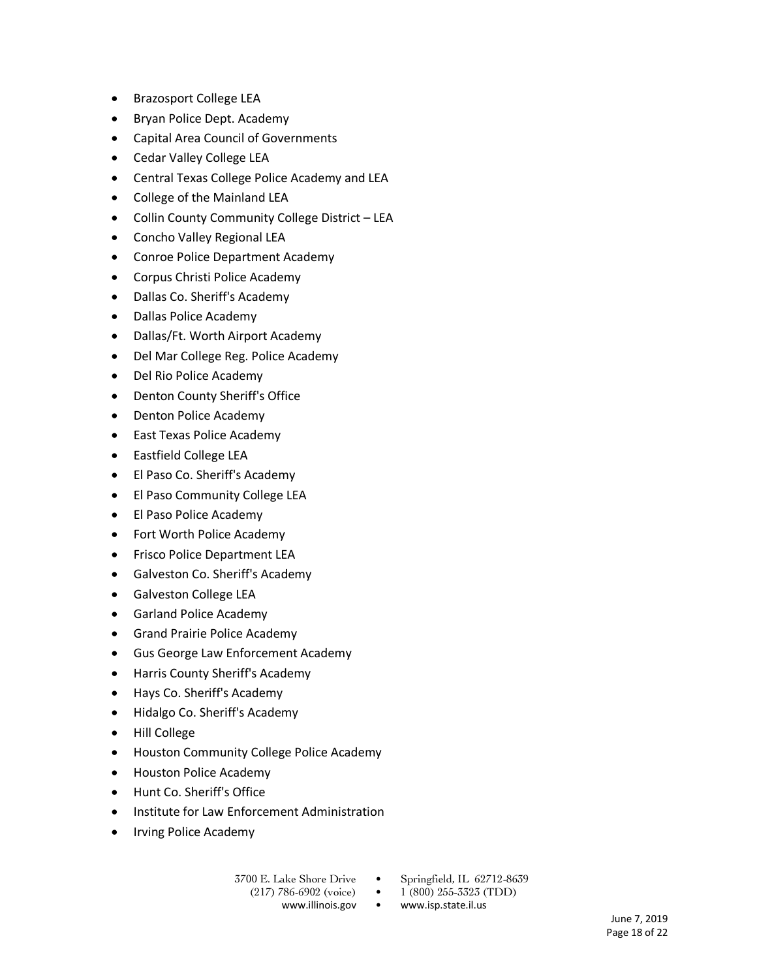- Brazosport College LEA
- Bryan Police Dept. Academy
- Capital Area Council of Governments
- Cedar Valley College LEA
- Central Texas College Police Academy and LEA
- College of the Mainland LEA
- Collin County Community College District LEA
- Concho Valley Regional LEA
- Conroe Police Department Academy
- Corpus Christi Police Academy
- Dallas Co. Sheriff's Academy
- Dallas Police Academy
- Dallas/Ft. Worth Airport Academy
- Del Mar College Reg. Police Academy
- Del Rio Police Academy
- Denton County Sheriff's Office
- Denton Police Academy
- East Texas Police Academy
- Eastfield College LEA
- El Paso Co. Sheriff's Academy
- El Paso Community College LEA
- El Paso Police Academy
- Fort Worth Police Academy
- **•** Frisco Police Department LEA
- Galveston Co. Sheriff's Academy
- **•** Galveston College LEA
- Garland Police Academy
- Grand Prairie Police Academy
- Gus George Law Enforcement Academy
- Harris County Sheriff's Academy
- Hays Co. Sheriff's Academy
- Hidalgo Co. Sheriff's Academy
- Hill College
- Houston Community College Police Academy
- Houston Police Academy
- Hunt Co. Sheriff's Office
- Institute for Law Enforcement Administration
- Irving Police Academy

- 3700 E. Lake Shore Drive Springfield, IL 62712-8639<br>(217) 786-6902 (voice) 1 (800) 255-3323 (TDD)
	- $(217) 786-6902$  (voice)
		- www.illinois.gov www.isp.state.il.us
-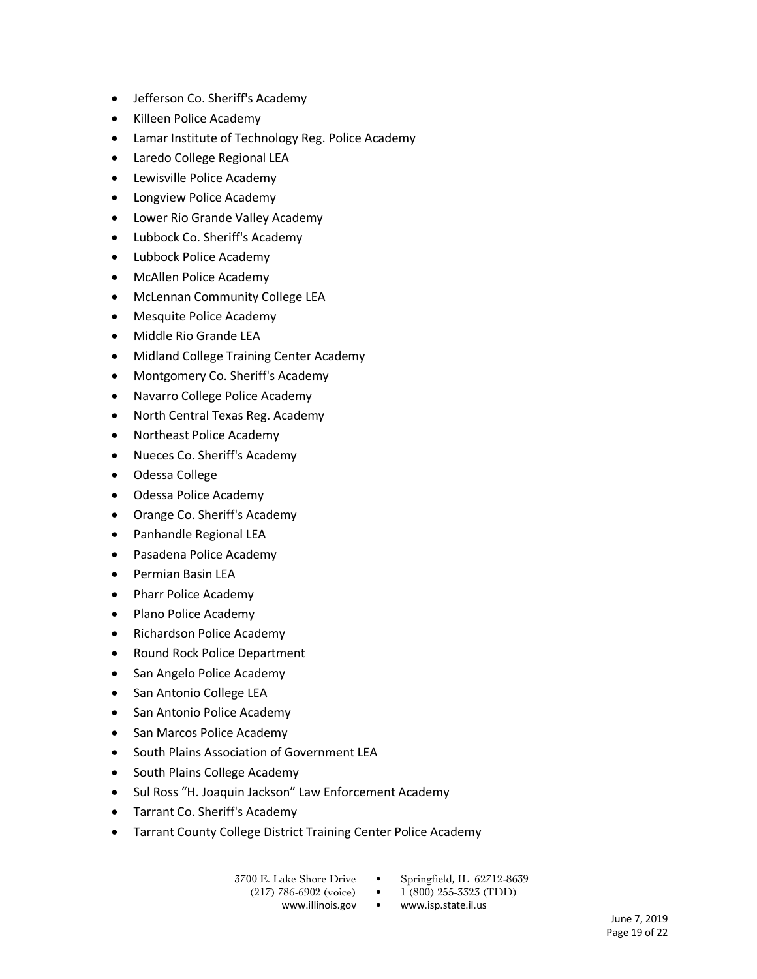- Jefferson Co. Sheriff's Academy
- Killeen Police Academy
- Lamar Institute of Technology Reg. Police Academy
- Laredo College Regional LEA
- Lewisville Police Academy
- Longview Police Academy
- Lower Rio Grande Valley Academy
- Lubbock Co. Sheriff's Academy
- Lubbock Police Academy
- McAllen Police Academy
- McLennan Community College LEA
- Mesquite Police Academy
- Middle Rio Grande LEA
- Midland College Training Center Academy
- Montgomery Co. Sheriff's Academy
- Navarro College Police Academy
- North Central Texas Reg. Academy
- Northeast Police Academy
- Nueces Co. Sheriff's Academy
- Odessa College
- Odessa Police Academy
- Orange Co. Sheriff's Academy
- Panhandle Regional LEA
- Pasadena Police Academy
- Permian Basin LEA
- Pharr Police Academy
- Plano Police Academy
- Richardson Police Academy
- Round Rock Police Department
- San Angelo Police Academy
- San Antonio College LEA
- San Antonio Police Academy
- San Marcos Police Academy
- **•** South Plains Association of Government LEA
- South Plains College Academy
- Sul Ross "H. Joaquin Jackson" Law Enforcement Academy
- Tarrant Co. Sheriff's Academy
- Tarrant County College District Training Center Police Academy

- 3700 E. Lake Shore Drive Springfield, IL 62712-8639<br>(217) 786-6902 (voice) 1 (800) 255-3323 (TDD)
	- $(217) 786-6902$  (voice) •

- 
- www.illinois.gov www.isp.state.il.us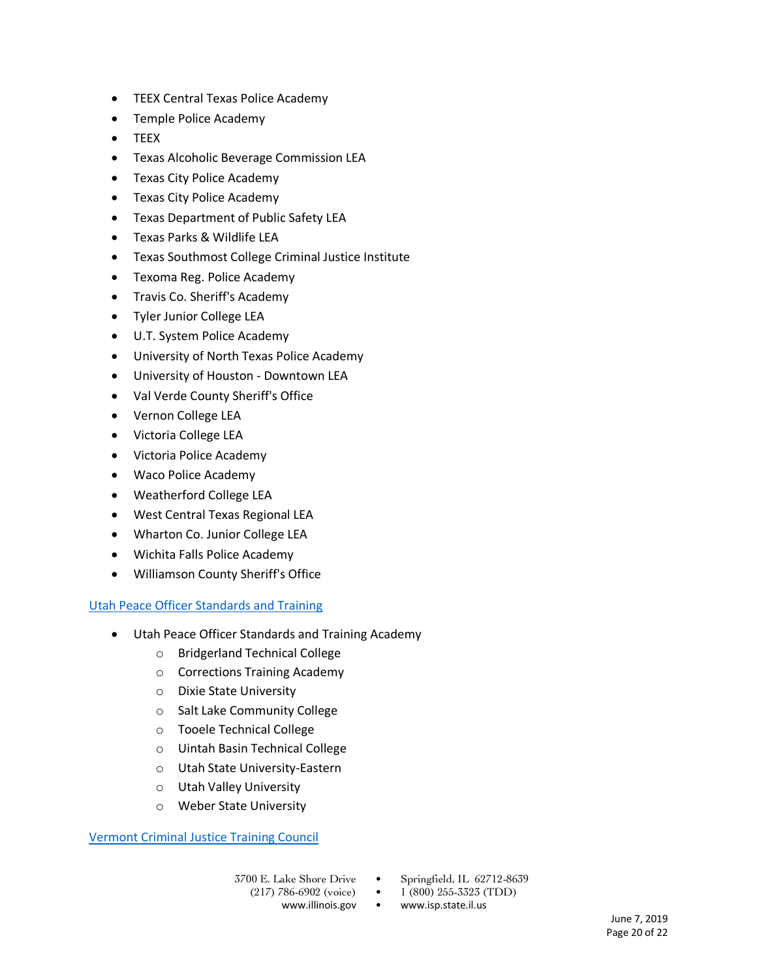- TEEX Central Texas Police Academy
- Temple Police Academy
- **•** TEEX
- Texas Alcoholic Beverage Commission LEA
- Texas City Police Academy
- Texas City Police Academy
- Texas Department of Public Safety LEA
- Texas Parks & Wildlife LEA
- Texas Southmost College Criminal Justice Institute
- Texoma Reg. Police Academy
- Travis Co. Sheriff's Academy
- Tyler Junior College LEA
- U.T. System Police Academy
- University of North Texas Police Academy
- University of Houston Downtown LEA
- Val Verde County Sheriff's Office
- Vernon College LEA
- Victoria College LEA
- Victoria Police Academy
- Waco Police Academy
- Weatherford College LEA
- West Central Texas Regional LEA
- Wharton Co. Junior College LEA
- Wichita Falls Police Academy
- Williamson County Sheriff's Office

## Utah [Peace Officer Standards and Training](https://post.utah.gov/satellite-academies/)

- Utah Peace Officer Standards and Training Academy
	- o [Bridgerland Technical College](http://btech.edu/certificate/police-academy/)
	- o [Corrections Training Academy](http://site.utah.gov/dps-post/corrections-training-academy/)
	- o [Dixie State University](http://site.utah.gov/dps-post/dixie-state-university-police-academy/)
	- o [Salt Lake Community College](http://site.utah.gov/dps-post/salt-lake-community-college/)
	- o [Tooele Technical College](https://tooeletech.edu/)
	- o [Uintah Basin Technical College](http://www.ubtech.edu/certificates-programs/trades-industry/post/)
	- o [Utah State University-Eastern](http://site.utah.gov/dps-post/utah-state-university-eastern/)
	- o [Utah Valley University](http://www.uvu.edu/criminaljustice/policeacademy)
	- o [Weber State University](http://site.utah.gov/dps-post/weber-state-university/)

## Vermont [Criminal Justice Training Council](https://vcjtc.vermont.gov/)

- 
- 3700 E. Lake Shore Drive Springfield, IL 62712-8639<br>(217) 786-6902 (voice) 1 (800) 255-3323 (TDD)
	- $(217) 786-6902$  (voice)
		- www.illinois.gov www.isp.state.il.us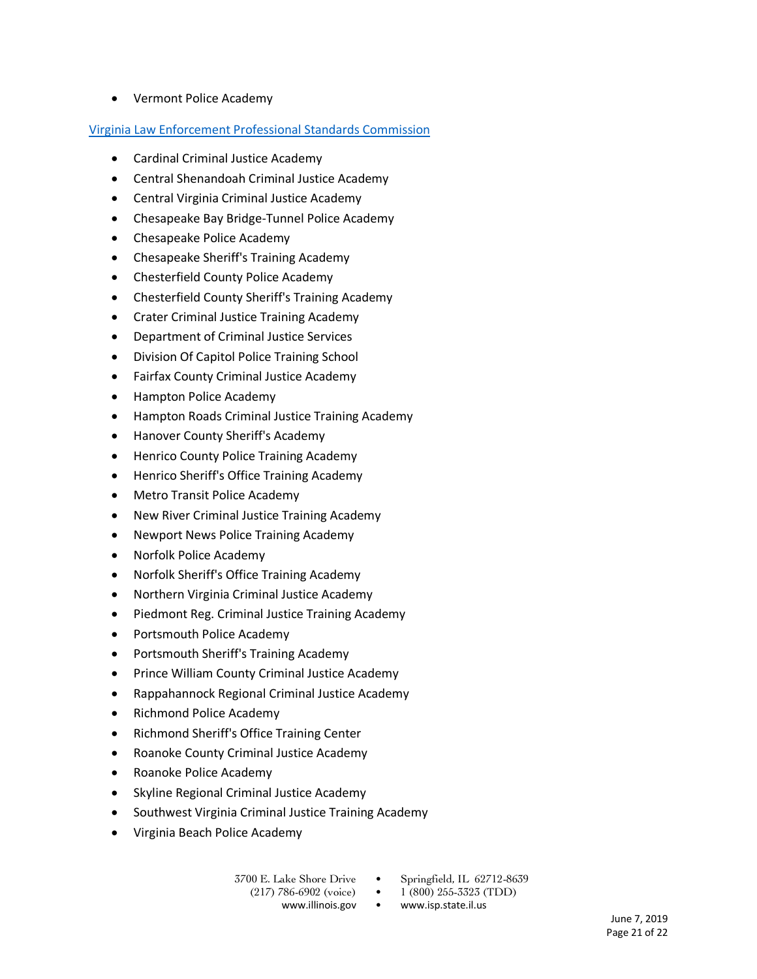Vermont Police Academy

## [Virginia Law Enforcement Professional Standards Commission](https://www.dcjs.virginia.gov/law-enforcement/programs/vlepsc)

- Cardinal Criminal Justice Academy
- Central Shenandoah Criminal Justice Academy
- Central Virginia Criminal Justice Academy
- Chesapeake Bay Bridge-Tunnel Police Academy
- Chesapeake Police Academy
- Chesapeake Sheriff's Training Academy
- Chesterfield County Police Academy
- Chesterfield County Sheriff's Training Academy
- Crater Criminal Justice Training Academy
- Department of Criminal Justice Services
- Division Of Capitol Police Training School
- Fairfax County Criminal Justice Academy
- Hampton Police Academy
- Hampton Roads Criminal Justice Training Academy
- Hanover County Sheriff's Academy
- **•** Henrico County Police Training Academy
- Henrico Sheriff's Office Training Academy
- Metro Transit Police Academy
- New River Criminal Justice Training Academy
- Newport News Police Training Academy
- Norfolk Police Academy
- Norfolk Sheriff's Office Training Academy
- Northern Virginia Criminal Justice Academy
- Piedmont Reg. Criminal Justice Training Academy
- Portsmouth Police Academy
- Portsmouth Sheriff's Training Academy
- Prince William County Criminal Justice Academy
- Rappahannock Regional Criminal Justice Academy
- Richmond Police Academy
- Richmond Sheriff's Office Training Center
- Roanoke County Criminal Justice Academy
- Roanoke Police Academy
- Skyline Regional Criminal Justice Academy
- Southwest Virginia Criminal Justice Training Academy
- Virginia Beach Police Academy

- 3700 E. Lake Shore Drive Springfield, IL 62712-8639
	-

www.illinois.gov • www.isp.state.il.us

- (217) 786-6902 (voice)  $1(800)$  255-3323 (TDD)
	-